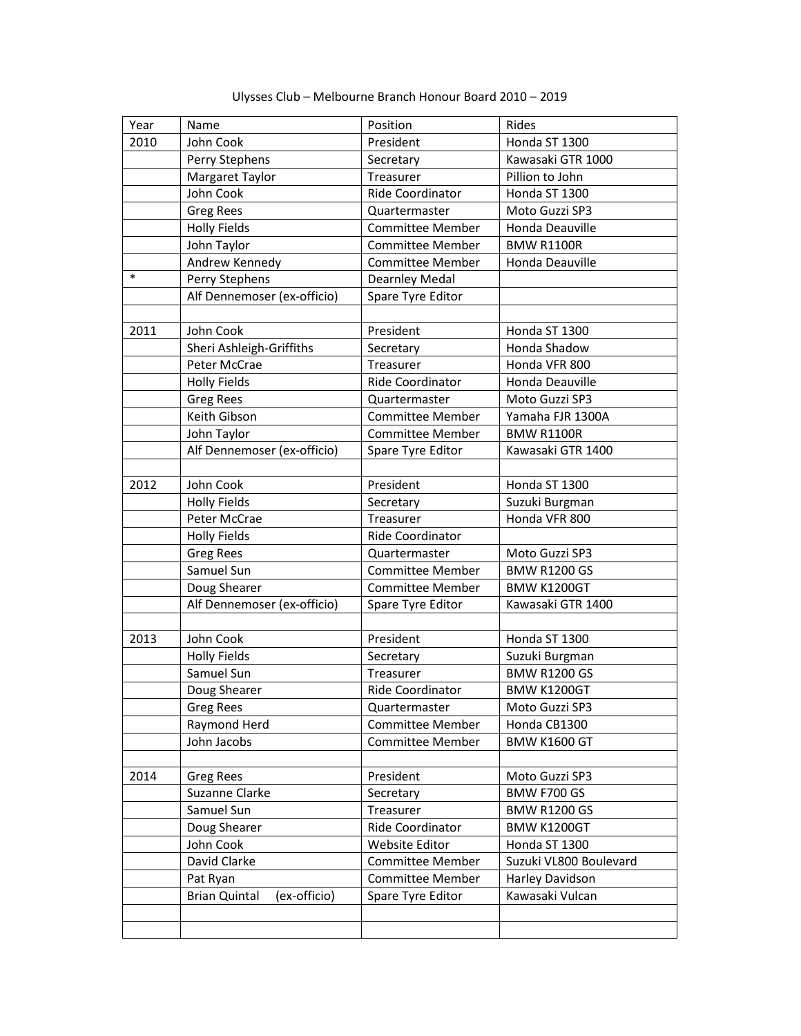| Year   | Name                                 | Position                | Rides                  |
|--------|--------------------------------------|-------------------------|------------------------|
| 2010   | John Cook                            | President               | Honda ST 1300          |
|        | Perry Stephens                       | Secretary               | Kawasaki GTR 1000      |
|        | Margaret Taylor                      | Treasurer               | Pillion to John        |
|        | John Cook                            | Ride Coordinator        | Honda ST 1300          |
|        | <b>Greg Rees</b>                     | Quartermaster           | Moto Guzzi SP3         |
|        | <b>Holly Fields</b>                  | Committee Member        | Honda Deauville        |
|        | John Taylor                          | <b>Committee Member</b> | <b>BMW R1100R</b>      |
|        | Andrew Kennedy                       | Committee Member        | Honda Deauville        |
| $\ast$ | Perry Stephens                       | Dearnley Medal          |                        |
|        | Alf Dennemoser (ex-officio)          | Spare Tyre Editor       |                        |
|        |                                      |                         |                        |
| 2011   | John Cook                            | President               | Honda ST 1300          |
|        | Sheri Ashleigh-Griffiths             | Secretary               | Honda Shadow           |
|        | Peter McCrae                         | Treasurer               | Honda VFR 800          |
|        | <b>Holly Fields</b>                  | Ride Coordinator        | Honda Deauville        |
|        | <b>Greg Rees</b>                     | Quartermaster           | Moto Guzzi SP3         |
|        | Keith Gibson                         | <b>Committee Member</b> | Yamaha FJR 1300A       |
|        | John Taylor                          | <b>Committee Member</b> | <b>BMW R1100R</b>      |
|        | Alf Dennemoser (ex-officio)          | Spare Tyre Editor       | Kawasaki GTR 1400      |
|        |                                      |                         |                        |
| 2012   | John Cook                            | President               | Honda ST 1300          |
|        | <b>Holly Fields</b>                  | Secretary               | Suzuki Burgman         |
|        | Peter McCrae                         | Treasurer               | Honda VFR 800          |
|        | <b>Holly Fields</b>                  | Ride Coordinator        |                        |
|        | <b>Greg Rees</b>                     | Quartermaster           | Moto Guzzi SP3         |
|        | Samuel Sun                           | <b>Committee Member</b> | <b>BMW R1200 GS</b>    |
|        | Doug Shearer                         | <b>Committee Member</b> | BMW K1200GT            |
|        | Alf Dennemoser (ex-officio)          | Spare Tyre Editor       | Kawasaki GTR 1400      |
|        |                                      |                         |                        |
| 2013   | John Cook                            | President               | Honda ST 1300          |
|        | <b>Holly Fields</b>                  | Secretary               | Suzuki Burgman         |
|        | Samuel Sun                           | Treasurer               | <b>BMW R1200 GS</b>    |
|        | Doug Shearer                         | Ride Coordinator        | BMW K1200GT            |
|        | <b>Greg Rees</b>                     | Quartermaster           | Moto Guzzi SP3         |
|        | Raymond Herd                         | <b>Committee Member</b> | Honda CB1300           |
|        | John Jacobs                          | Committee Member        | <b>BMW K1600 GT</b>    |
|        |                                      |                         |                        |
| 2014   | Greg Rees                            | President               | Moto Guzzi SP3         |
|        | Suzanne Clarke                       | Secretary               | BMW F700 GS            |
|        | Samuel Sun                           | Treasurer               | <b>BMW R1200 GS</b>    |
|        | Doug Shearer                         | Ride Coordinator        | BMW K1200GT            |
|        | John Cook                            | <b>Website Editor</b>   | Honda ST 1300          |
|        | David Clarke                         | <b>Committee Member</b> | Suzuki VL800 Boulevard |
|        | Pat Ryan                             | <b>Committee Member</b> | Harley Davidson        |
|        | (ex-officio)<br><b>Brian Quintal</b> | Spare Tyre Editor       | Kawasaki Vulcan        |
|        |                                      |                         |                        |
|        |                                      |                         |                        |

Ulysses Club – Melbourne Branch Honour Board 2010 – 2019